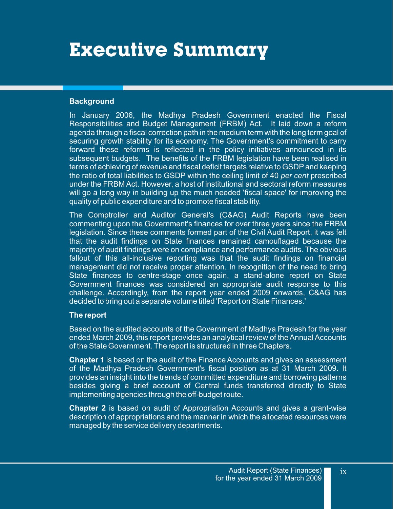## **Executive Summary**

## **Background**

In January 2006, the Madhya Pradesh Government enacted the Fiscal Responsibilities and Budget Management (FRBM) Act. It laid down a reform agenda through a fiscal correction path in the medium term with the long term goal of securing growth stability for its economy. The Government's commitment to carry forward these reforms is reflected in the policy initiatives announced in its subsequent budgets. The benefits of the FRBM legislation have been realised in terms of achieving of revenue and fiscal deficit targets relative to GSDP and keeping the ratio of total liabilities to GSDP within the ceiling limit of 40 *per cent* prescribed under the FRBM Act. However, a host of institutional and sectoral reform measures will go a long way in building up the much needed 'fiscal space' for improving the quality of public expenditure and to promote fiscal stability.

The Comptroller and Auditor General's (C&AG) Audit Reports have been commenting upon the Government's finances for over three years since the FRBM legislation. Since these comments formed part of the Civil Audit Report, it was felt that the audit findings on State finances remained camouflaged because the majority of audit findings were on compliance and performance audits. The obvious fallout of this all-inclusive reporting was that the audit findings on financial management did not receive proper attention. In recognition of the need to bring State finances to centre-stage once again, a stand-alone report on State Government finances was considered an appropriate audit response to this challenge. Accordingly, from the report year ended 2009 onwards, C&AG has decided to bring out a separate volume titled 'Report on State Finances.'

## **The report**

Based on the audited accounts of the Government of Madhya Pradesh for the year ended March 2009, this report provides an analytical review of the Annual Accounts of the State Government. The report is structured in three Chapters.

**Chapter 1** is based on the audit of the Finance Accounts and gives an assessment of the Madhya Pradesh Government's fiscal position as at 31 March 2009. It provides an insight into the trends of committed expenditure and borrowing patterns besides giving a brief account of Central funds transferred directly to State implementing agencies through the off-budget route.

**Chapter 2** is based on audit of Appropriation Accounts and gives a grant-wise description of appropriations and the manner in which the allocated resources were managed by the service delivery departments.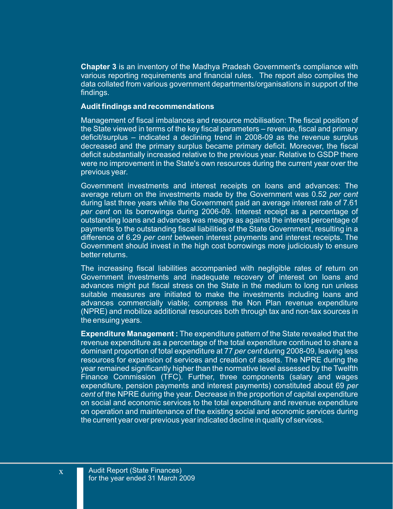**Chapter 3** is an inventory of the Madhya Pradesh Government's compliance with various reporting requirements and financial rules. The report also compiles the data collated from various government departments/organisations in support of the findings.

## **Audit findings and recommendations**

Management of fiscal imbalances and resource mobilisation: The fiscal position of the State viewed in terms of the key fiscal parameters – revenue, fiscal and primary deficit/surplus – indicated a declining trend in 2008-09 as the revenue surplus decreased and the primary surplus became primary deficit. Moreover, the fiscal deficit substantially increased relative to the previous year. Relative to GSDP there were no improvement in the State's own resources during the current year over the previous year.

Government investments and interest receipts on loans and advances: The average return on the investments made by the Government was 0.52 *per cent* during last three years while the Government paid an average interest rate of 7.61 *per cent* on its borrowings during 2006-09. Interest receipt as a percentage of outstanding loans and advances was meagre as against the interest percentage of payments to the outstanding fiscal liabilities of the State Government, resulting in a difference of 6.29 *per cent* between interest payments and interest receipts. The Government should invest in the high cost borrowings more judiciously to ensure better returns.

The increasing fiscal liabilities accompanied with negligible rates of return on Government investments and inadequate recovery of interest on loans and advances might put fiscal stress on the State in the medium to long run unless suitable measures are initiated to make the investments including loans and advances commercially viable; compress the Non Plan revenue expenditure (NPRE) and mobilize additional resources both through tax and non-tax sources in the ensuing years.

**Expenditure Management :** The expenditure pattern of the State revealed that the revenue expenditure as a percentage of the total expenditure continued to share a dominant proportion of total expenditure at 77 *per cent* during 2008-09, leaving less resources for expansion of services and creation of assets. The NPRE during the year remained significantly higher than the normative level assessed by the Twelfth Finance Commission (TFC). Further, three components (salary and wages expenditure, pension payments and interest payments) constituted about 69 *per cent* of the NPRE during the year. Decrease in the proportion of capital expenditure on social and economic services to the total expenditure and revenue expenditure on operation and maintenance of the existing social and economic services during the current year over previous year indicated decline in quality of services.